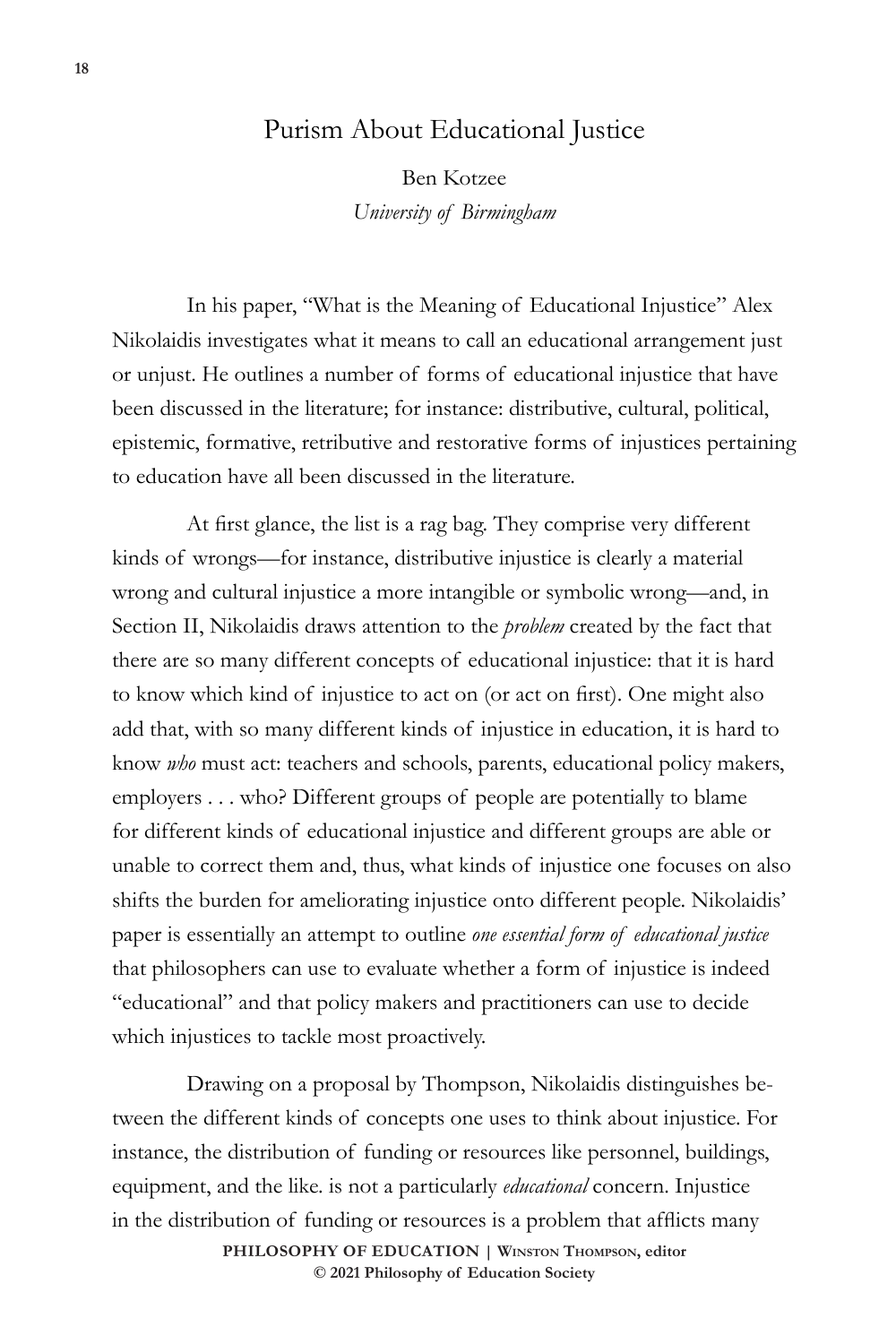## Purism About Educational Justice

Ben Kotzee *University of Birmingham*

In his paper, "What is the Meaning of Educational Injustice" Alex Nikolaidis investigates what it means to call an educational arrangement just or unjust. He outlines a number of forms of educational injustice that have been discussed in the literature; for instance: distributive, cultural, political, epistemic, formative, retributive and restorative forms of injustices pertaining to education have all been discussed in the literature.

At first glance, the list is a rag bag. They comprise very different kinds of wrongs—for instance, distributive injustice is clearly a material wrong and cultural injustice a more intangible or symbolic wrong—and, in Section II, Nikolaidis draws attention to the *problem* created by the fact that there are so many different concepts of educational injustice: that it is hard to know which kind of injustice to act on (or act on first). One might also add that, with so many different kinds of injustice in education, it is hard to know *who* must act: teachers and schools, parents, educational policy makers, employers . . . who? Different groups of people are potentially to blame for different kinds of educational injustice and different groups are able or unable to correct them and, thus, what kinds of injustice one focuses on also shifts the burden for ameliorating injustice onto different people. Nikolaidis' paper is essentially an attempt to outline *one essential form of educational justice*  that philosophers can use to evaluate whether a form of injustice is indeed "educational" and that policy makers and practitioners can use to decide which injustices to tackle most proactively.

Drawing on a proposal by Thompson, Nikolaidis distinguishes between the different kinds of concepts one uses to think about injustice. For instance, the distribution of funding or resources like personnel, buildings, equipment, and the like. is not a particularly *educational* concern. Injustice in the distribution of funding or resources is a problem that afflicts many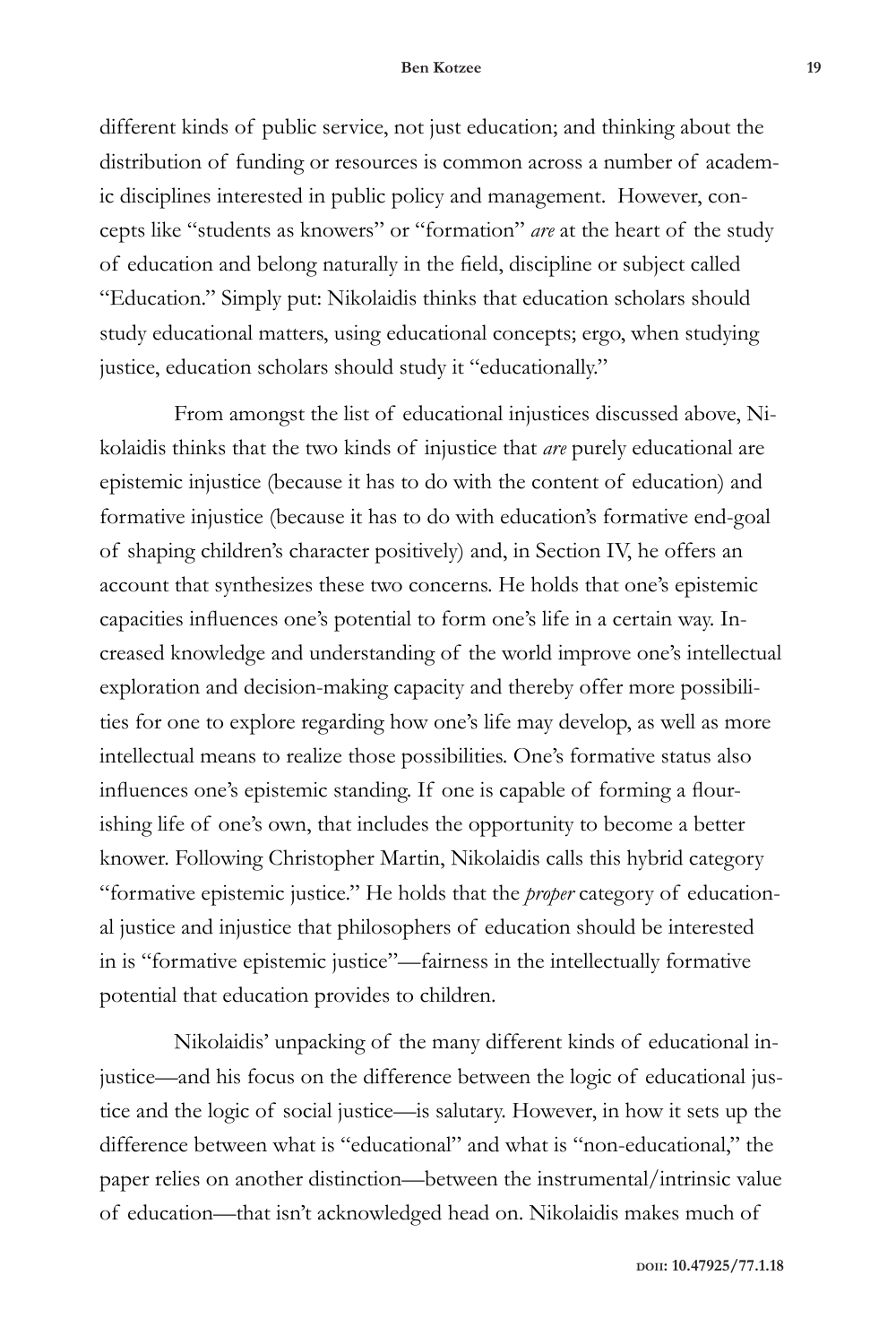## **Ben Kotzee 19**

different kinds of public service, not just education; and thinking about the distribution of funding or resources is common across a number of academic disciplines interested in public policy and management. However, concepts like "students as knowers" or "formation" *are* at the heart of the study of education and belong naturally in the field, discipline or subject called "Education." Simply put: Nikolaidis thinks that education scholars should study educational matters, using educational concepts; ergo, when studying justice, education scholars should study it "educationally."

From amongst the list of educational injustices discussed above, Nikolaidis thinks that the two kinds of injustice that *are* purely educational are epistemic injustice (because it has to do with the content of education) and formative injustice (because it has to do with education's formative end-goal of shaping children's character positively) and, in Section IV, he offers an account that synthesizes these two concerns. He holds that one's epistemic capacities influences one's potential to form one's life in a certain way. Increased knowledge and understanding of the world improve one's intellectual exploration and decision-making capacity and thereby offer more possibilities for one to explore regarding how one's life may develop, as well as more intellectual means to realize those possibilities. One's formative status also influences one's epistemic standing. If one is capable of forming a flourishing life of one's own, that includes the opportunity to become a better knower. Following Christopher Martin, Nikolaidis calls this hybrid category "formative epistemic justice." He holds that the *proper* category of educational justice and injustice that philosophers of education should be interested in is "formative epistemic justice"—fairness in the intellectually formative potential that education provides to children.

Nikolaidis' unpacking of the many different kinds of educational injustice—and his focus on the difference between the logic of educational justice and the logic of social justice—is salutary. However, in how it sets up the difference between what is "educational" and what is "non-educational," the paper relies on another distinction—between the instrumental/intrinsic value of education—that isn't acknowledged head on. Nikolaidis makes much of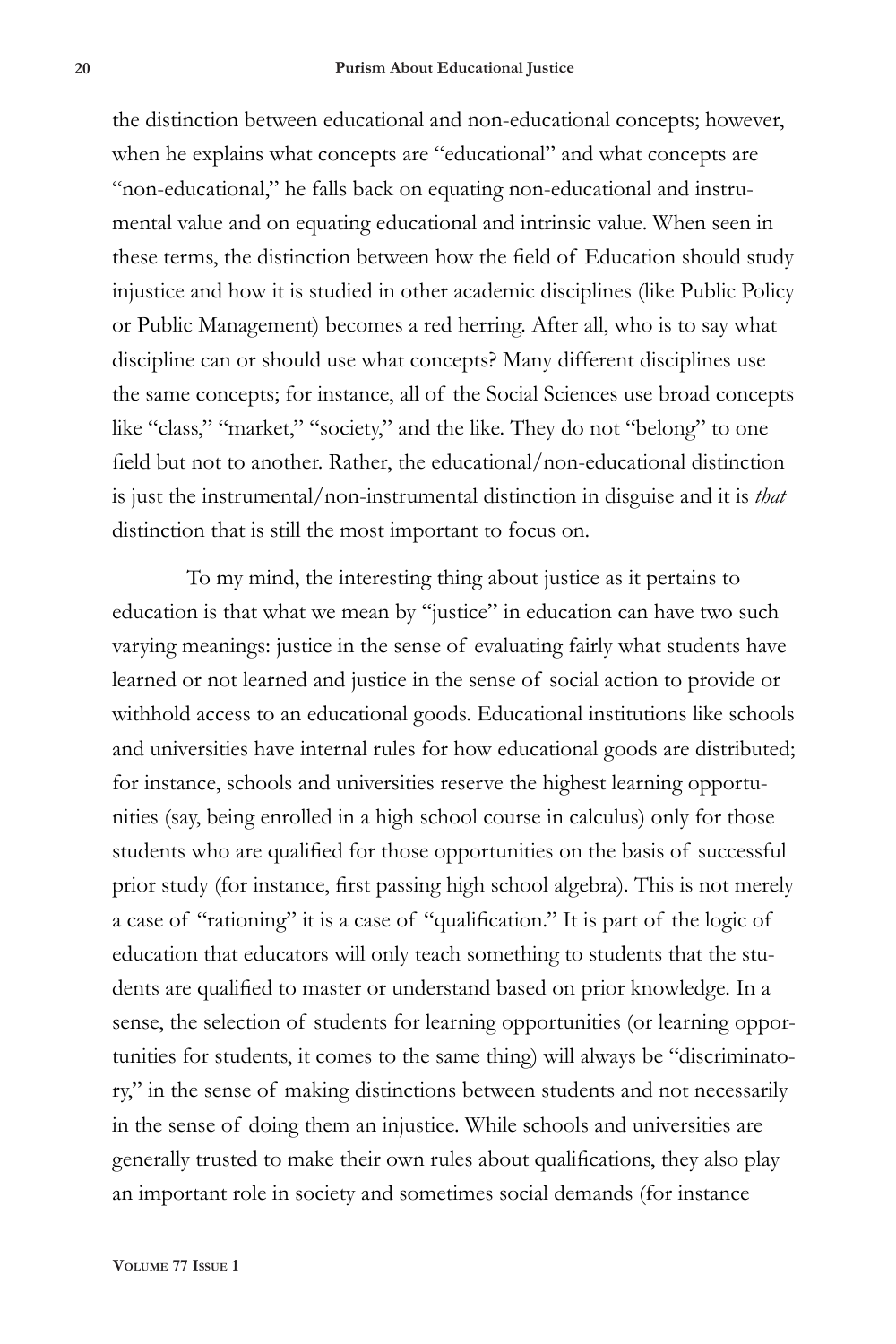the distinction between educational and non-educational concepts; however, when he explains what concepts are "educational" and what concepts are "non-educational," he falls back on equating non-educational and instrumental value and on equating educational and intrinsic value. When seen in these terms, the distinction between how the field of Education should study injustice and how it is studied in other academic disciplines (like Public Policy or Public Management) becomes a red herring. After all, who is to say what discipline can or should use what concepts? Many different disciplines use the same concepts; for instance, all of the Social Sciences use broad concepts like "class," "market," "society," and the like. They do not "belong" to one field but not to another. Rather, the educational/non-educational distinction is just the instrumental/non-instrumental distinction in disguise and it is *that*  distinction that is still the most important to focus on.

To my mind, the interesting thing about justice as it pertains to education is that what we mean by "justice" in education can have two such varying meanings: justice in the sense of evaluating fairly what students have learned or not learned and justice in the sense of social action to provide or withhold access to an educational goods. Educational institutions like schools and universities have internal rules for how educational goods are distributed; for instance, schools and universities reserve the highest learning opportunities (say, being enrolled in a high school course in calculus) only for those students who are qualified for those opportunities on the basis of successful prior study (for instance, first passing high school algebra). This is not merely a case of "rationing" it is a case of "qualification." It is part of the logic of education that educators will only teach something to students that the students are qualified to master or understand based on prior knowledge. In a sense, the selection of students for learning opportunities (or learning opportunities for students, it comes to the same thing) will always be "discriminatory," in the sense of making distinctions between students and not necessarily in the sense of doing them an injustice. While schools and universities are generally trusted to make their own rules about qualifications, they also play an important role in society and sometimes social demands (for instance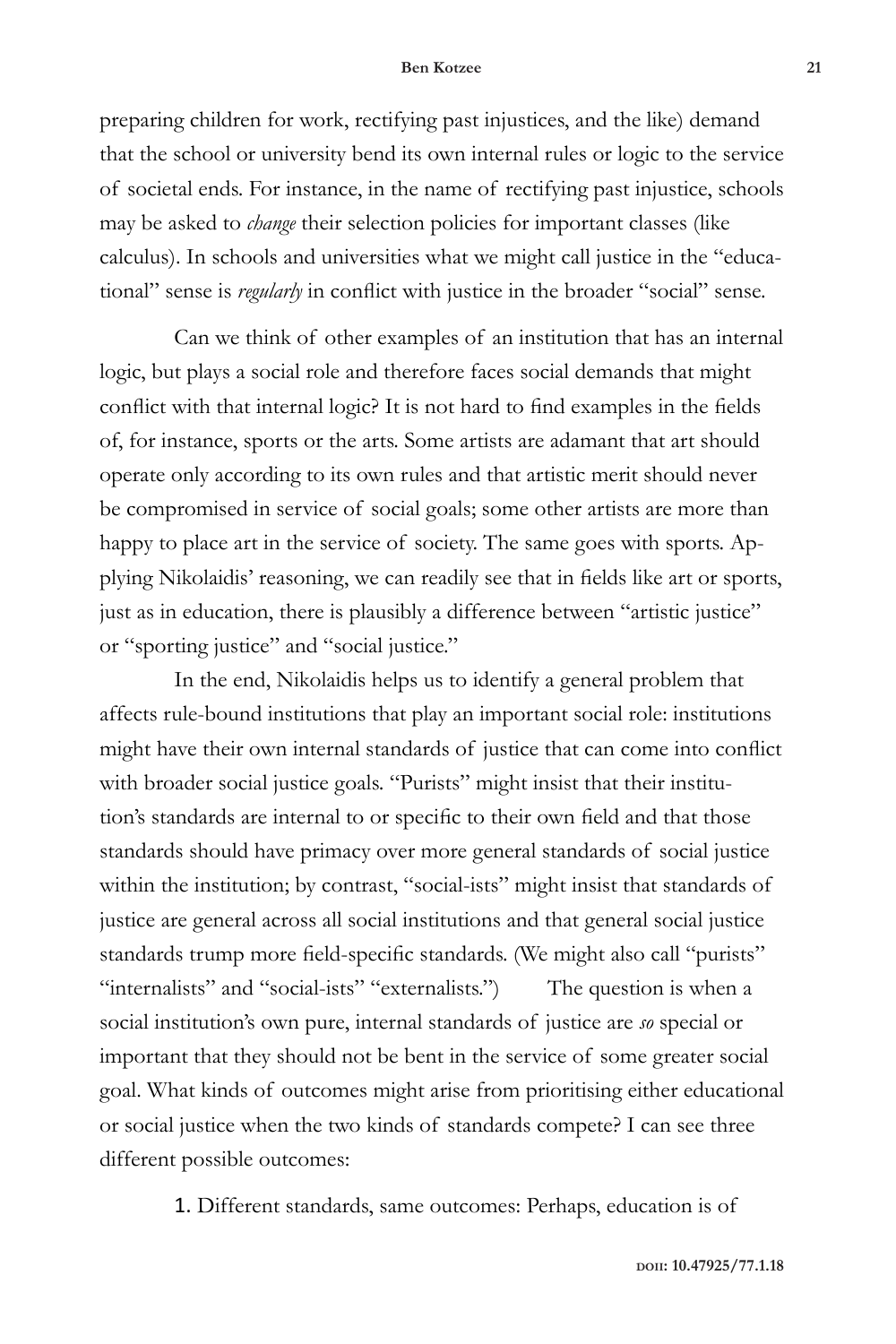## **Ben Kotzee 21**

preparing children for work, rectifying past injustices, and the like) demand that the school or university bend its own internal rules or logic to the service of societal ends. For instance, in the name of rectifying past injustice, schools may be asked to *change* their selection policies for important classes (like calculus). In schools and universities what we might call justice in the "educational" sense is *regularly* in conflict with justice in the broader "social" sense.

Can we think of other examples of an institution that has an internal logic, but plays a social role and therefore faces social demands that might conflict with that internal logic? It is not hard to find examples in the fields of, for instance, sports or the arts. Some artists are adamant that art should operate only according to its own rules and that artistic merit should never be compromised in service of social goals; some other artists are more than happy to place art in the service of society. The same goes with sports. Applying Nikolaidis' reasoning, we can readily see that in fields like art or sports, just as in education, there is plausibly a difference between "artistic justice" or "sporting justice" and "social justice."

In the end, Nikolaidis helps us to identify a general problem that affects rule-bound institutions that play an important social role: institutions might have their own internal standards of justice that can come into conflict with broader social justice goals. "Purists" might insist that their institution's standards are internal to or specific to their own field and that those standards should have primacy over more general standards of social justice within the institution; by contrast, "social-ists" might insist that standards of justice are general across all social institutions and that general social justice standards trump more field-specific standards. (We might also call "purists" "internalists" and "social-ists" "externalists.") The question is when a social institution's own pure, internal standards of justice are *so* special or important that they should not be bent in the service of some greater social goal. What kinds of outcomes might arise from prioritising either educational or social justice when the two kinds of standards compete? I can see three different possible outcomes:

1. Different standards, same outcomes: Perhaps, education is of